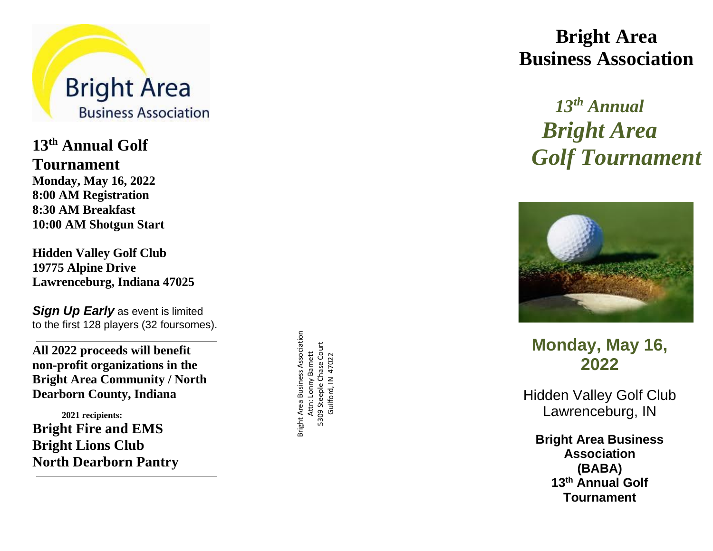

**1 3 th Annual Golf Tournament Monday, May 1 6, 20 2 2 8 : 00 AM Registration 8 : 30 AM Breakfast 10:00 AM Shotgun Start**

**Hidden Valley Golf Club 19775 Alpine Drive Lawrenceburg, Indiana 47025**

*Sign Up Early* as event is limited to the first 128 players (32 foursomes).

**All 20 2 2 proceeds will benefit non -profit organizations in the Bright Area Community / North Dearborn County, Indiana**

 **20 2 1 recipients: Bright Fire and EMS Bright Lions Club North Dearborn Pantry** Bright Area Business Association Bright Area Business Association 5309 Steeple Chase Court<br>Guilford, IN 47022 5309 Steeple Chase Court Attn: Lonny Barnett Attn: Lonny Barnett Guilford, IN 47022

# **Bright Area Business Association**

# *1 3 th Annual Bright Area Golf Tournament*



**Monday, May 1 6, 20 2 2**

Hidden Valley Golf Club Lawrenceburg, IN

**Bright Area Business Association (BABA) 1 3 th Annual Golf Tournamen t**